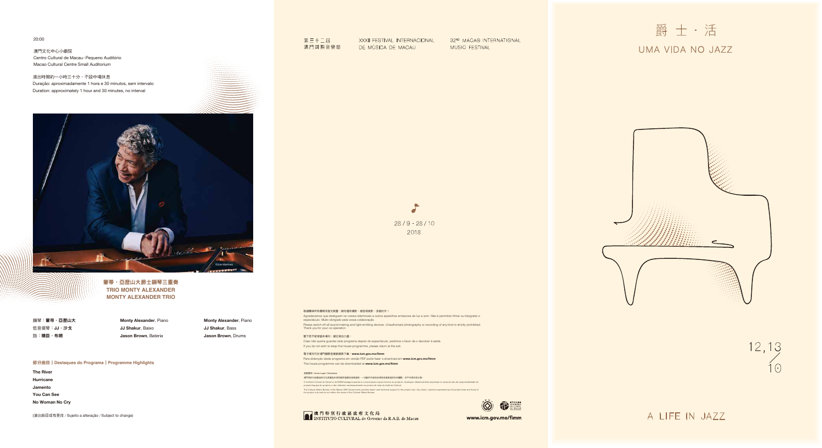20:00

澳門文化中心小劇院 Centro Cultural de Macau- Pequeno Auditório Macao Cultural Centre Small Auditorium

鋼琴:蒙帝・亞歷山大 低音提琴:**JJ**.沙戈 鼓:積臣.布朗

### 部分曲目|**Destaques do Programa**|**Programme Highlights**

**The River Hurricane Jamento You Can See No Woman No Cry**

(演出曲目或有更改/Sujeito a alteração/Subject to change)

# 第三十二届 澳門國際音樂節

XXXII FESTIVAL INTERNACIONAL DE MÚSICA DE MACAU

32ND MACAO INTERNATIONAL MUSIC FESTIVAL

O  $28/9 - 28/10$ 2018

演出時間約一小時三十分,不設中場休息 Duração: aproximadamente 1 hora e 30 minutos, sem intervalo Duration: approximately 1 hour and 30 minutes, no interval

> **Monty Alexander**, Piano **JJ Shakur**, Baixo **Jason Brown**, Bateria

**Monty Alexander**, Piano

**JJ Shakur**, Bass **Jason Brown**, Drums

閣下若不欲保留本場刊,請交回出口處。 Caso não queira guardar este programa depois do espectáculo, pedimos o favor de o devolver à saída. If you do not wish to keep this house programme, please return at the exit.

敬請關掉所有響鬧及發光裝置,請勿擅自攝影、錄音或錄影。多謝合作!

澳門特別行政區政府文化局僅為本項目提供協調及技術協助,一切創作內容及由項目成員表達的任何觀點,均不代表本局立場。 O Instituto Cultural do Governo da RAEM assegura apenas a comunicação e apoio técnico ao projecto. Quaisquer ideias/opiniões expressas no projecto são da responsabilidade do<br>projecto/equipa do projecto e não reflectem nece The Cultural Affairs Bureau of the Macao SAR Government provides liaison and technical support to the project only. Any views / opinions expressed by the project team are those of<br>the project only and do not reflect the vi



# 爵士·活 UMA VIDA NO JAZZ



12,13  $\bigcap$ 

A LIFE IN JAZZ



Agradecemos que desliguem os vossos telemóveis e outros aparelhos emissores de luz e som. Não é permitido filmar ou fotografar o espectáculo. Muito obrigado pela vossa colaboração. Please switch off all sound-making and light-emitting devices. Unauthorised photography or recording of any kind is strictly prohibited. Thank you for your co-operation.

電子場刊可於澳門國際音樂節網頁下載:**www.icm.gov.mo/fimm** Para obtenção deste programa em versão PDF pode fazer o download em **www.icm.gov.mo/fimm** This house programme can be downloaded at **www.icm.gov.mo/fimm**

#### 免責聲明 / Aviso Legal / Disclaimer



蒙蒂・亞歷山大爵士鋼琴三重奏 **TRIO MONTY ALEXANDER MONTY ALEXANDER TRIO**